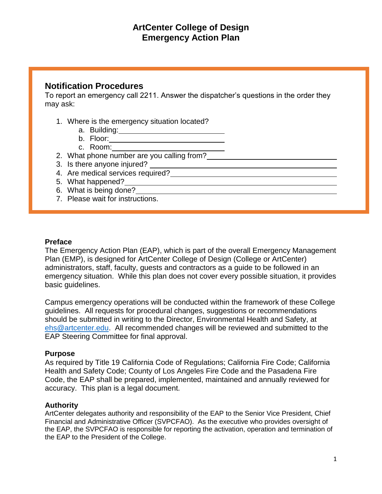# **Notification Procedures**

To report an emergency call 2211. Answer the dispatcher's questions in the order they may ask:

- 1. Where is the emergency situation located?
	- a. Building:
	- b. Floor:
	- c. Room:
- 2. What phone number are you calling from?
- 3. Is there anyone injured?
- 4. Are medical services required?
- 5. What happened?
- 6. What is being done?
- 7. Please wait for instructions.

### **Preface**

The Emergency Action Plan (EAP), which is part of the overall Emergency Management Plan (EMP), is designed for ArtCenter College of Design (College or ArtCenter) administrators, staff, faculty, guests and contractors as a guide to be followed in an emergency situation. While this plan does not cover every possible situation, it provides basic guidelines.

Campus emergency operations will be conducted within the framework of these College guidelines. All requests for procedural changes, suggestions or recommendations should be submitted in writing to the Director, Environmental Health and Safety, at [ehs@artcenter.edu.](mailto:ehs@artcenter.edu) All recommended changes will be reviewed and submitted to the EAP Steering Committee for final approval.

#### **Purpose**

As required by Title 19 California Code of Regulations; California Fire Code; California Health and Safety Code; County of Los Angeles Fire Code and the Pasadena Fire Code, the EAP shall be prepared, implemented, maintained and annually reviewed for accuracy. This plan is a legal document.

### **Authority**

ArtCenter delegates authority and responsibility of the EAP to the Senior Vice President, Chief Financial and Administrative Officer (SVPCFAO). As the executive who provides oversight of the EAP, the SVPCFAO is responsible for reporting the activation, operation and termination of the EAP to the President of the College.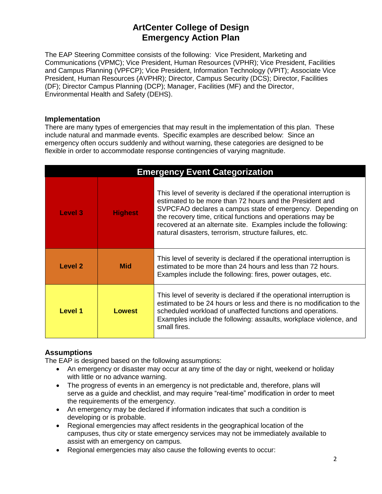The EAP Steering Committee consists of the following: Vice President, Marketing and Communications (VPMC); Vice President, Human Resources (VPHR); Vice President, Facilities and Campus Planning (VPFCP); Vice President, Information Technology (VPIT); Associate Vice President, Human Resources (AVPHR); Director, Campus Security (DCS); Director, Facilities (DF); Director Campus Planning (DCP); Manager, Facilities (MF) and the Director, Environmental Health and Safety (DEHS).

### **Implementation**

There are many types of emergencies that may result in the implementation of this plan. These include natural and manmade events. Specific examples are described below: Since an emergency often occurs suddenly and without warning, these categories are designed to be flexible in order to accommodate response contingencies of varying magnitude.

| <b>Emergency Event Categorization</b> |                |                                                                                                                                                                                                                                                                                                                                                                                             |
|---------------------------------------|----------------|---------------------------------------------------------------------------------------------------------------------------------------------------------------------------------------------------------------------------------------------------------------------------------------------------------------------------------------------------------------------------------------------|
| Level 3                               | <b>Highest</b> | This level of severity is declared if the operational interruption is<br>estimated to be more than 72 hours and the President and<br>SVPCFAO declares a campus state of emergency. Depending on<br>the recovery time, critical functions and operations may be<br>recovered at an alternate site. Examples include the following:<br>natural disasters, terrorism, structure failures, etc. |
| Level 2                               | <b>Mid</b>     | This level of severity is declared if the operational interruption is<br>estimated to be more than 24 hours and less than 72 hours.<br>Examples include the following: fires, power outages, etc.                                                                                                                                                                                           |
| Level 1                               | <b>Lowest</b>  | This level of severity is declared if the operational interruption is<br>estimated to be 24 hours or less and there is no modification to the<br>scheduled workload of unaffected functions and operations.<br>Examples include the following: assaults, workplace violence, and<br>small fires.                                                                                            |

## **Assumptions**

The EAP is designed based on the following assumptions:

- An emergency or disaster may occur at any time of the day or night, weekend or holiday with little or no advance warning.
- The progress of events in an emergency is not predictable and, therefore, plans will serve as a guide and checklist, and may require "real-time" modification in order to meet the requirements of the emergency.
- An emergency may be declared if information indicates that such a condition is developing or is probable.
- Regional emergencies may affect residents in the geographical location of the campuses, thus city or state emergency services may not be immediately available to assist with an emergency on campus.
- Regional emergencies may also cause the following events to occur: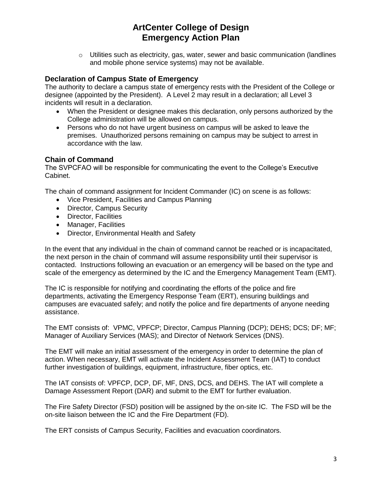o Utilities such as electricity, gas, water, sewer and basic communication (landlines and mobile phone service systems) may not be available.

### **Declaration of Campus State of Emergency**

The authority to declare a campus state of emergency rests with the President of the College or designee (appointed by the President). A Level 2 may result in a declaration; all Level 3 incidents will result in a declaration.

- When the President or designee makes this declaration, only persons authorized by the College administration will be allowed on campus.
- Persons who do not have urgent business on campus will be asked to leave the premises. Unauthorized persons remaining on campus may be subject to arrest in accordance with the law.

### **Chain of Command**

The SVPCFAO will be responsible for communicating the event to the College's Executive Cabinet.

The chain of command assignment for Incident Commander (IC) on scene is as follows:

- Vice President, Facilities and Campus Planning
- Director, Campus Security
- Director, Facilities
- Manager, Facilities
- Director, Environmental Health and Safety

In the event that any individual in the chain of command cannot be reached or is incapacitated, the next person in the chain of command will assume responsibility until their supervisor is contacted. Instructions following an evacuation or an emergency will be based on the type and scale of the emergency as determined by the IC and the Emergency Management Team (EMT).

The IC is responsible for notifying and coordinating the efforts of the police and fire departments, activating the Emergency Response Team (ERT), ensuring buildings and campuses are evacuated safely; and notify the police and fire departments of anyone needing assistance.

The EMT consists of: VPMC, VPFCP; Director, Campus Planning (DCP); DEHS; DCS; DF; MF; Manager of Auxiliary Services (MAS); and Director of Network Services (DNS).

The EMT will make an initial assessment of the emergency in order to determine the plan of action. When necessary, EMT will activate the Incident Assessment Team (IAT) to conduct further investigation of buildings, equipment, infrastructure, fiber optics, etc.

The IAT consists of: VPFCP, DCP, DF, MF, DNS, DCS, and DEHS. The IAT will complete a Damage Assessment Report (DAR) and submit to the EMT for further evaluation.

The Fire Safety Director (FSD) position will be assigned by the on-site IC. The FSD will be the on-site liaison between the IC and the Fire Department (FD).

The ERT consists of Campus Security, Facilities and evacuation coordinators.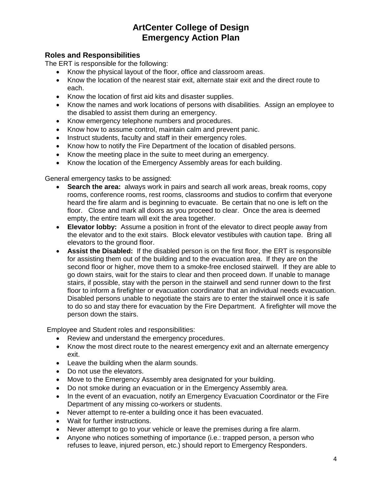## **Roles and Responsibilities**

The ERT is responsible for the following:

- Know the physical layout of the floor, office and classroom areas.
- Know the location of the nearest stair exit, alternate stair exit and the direct route to each.
- Know the location of first aid kits and disaster supplies.
- Know the names and work locations of persons with disabilities. Assign an employee to the disabled to assist them during an emergency.
- Know emergency telephone numbers and procedures.
- Know how to assume control, maintain calm and prevent panic.
- Instruct students, faculty and staff in their emergency roles.
- Know how to notify the Fire Department of the location of disabled persons.
- Know the meeting place in the suite to meet during an emergency.
- Know the location of the Emergency Assembly areas for each building.

General emergency tasks to be assigned:

- **Search the area:** always work in pairs and search all work areas, break rooms, copy rooms, conference rooms, rest rooms, classrooms and studios to confirm that everyone heard the fire alarm and is beginning to evacuate. Be certain that no one is left on the floor. Close and mark all doors as you proceed to clear. Once the area is deemed empty, the entire team will exit the area together.
- **Elevator lobby:** Assume a position in front of the elevator to direct people away from the elevator and to the exit stairs. Block elevator vestibules with caution tape. Bring all elevators to the ground floor.
- **Assist the Disabled:** If the disabled person is on the first floor, the ERT is responsible for assisting them out of the building and to the evacuation area. If they are on the second floor or higher, move them to a smoke-free enclosed stairwell. If they are able to go down stairs, wait for the stairs to clear and then proceed down. If unable to manage stairs, if possible, stay with the person in the stairwell and send runner down to the first floor to inform a firefighter or evacuation coordinator that an individual needs evacuation. Disabled persons unable to negotiate the stairs are to enter the stairwell once it is safe to do so and stay there for evacuation by the Fire Department. A firefighter will move the person down the stairs.

Employee and Student roles and responsibilities:

- Review and understand the emergency procedures.
- Know the most direct route to the nearest emergency exit and an alternate emergency exit.
- Leave the building when the alarm sounds.
- Do not use the elevators.
- Move to the Emergency Assembly area designated for your building.
- Do not smoke during an evacuation or in the Emergency Assembly area.
- In the event of an evacuation, notify an Emergency Evacuation Coordinator or the Fire Department of any missing co-workers or students.
- Never attempt to re-enter a building once it has been evacuated.
- Wait for further instructions.
- Never attempt to go to your vehicle or leave the premises during a fire alarm.
- Anyone who notices something of importance (i.e.: trapped person, a person who refuses to leave, injured person, etc.) should report to Emergency Responders.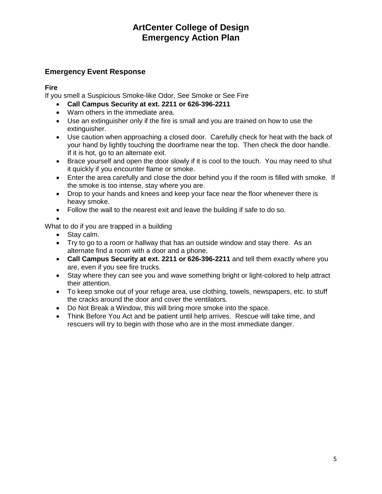# **Emergency Event Response**

## **Fire**

If you smell a Suspicious Smoke-like Odor, See Smoke or See Fire

- **Call Campus Security at ext. 2211 or 626-396-2211**
- Warn others in the immediate area.
- Use an extinguisher only if the fire is small and you are trained on how to use the extinguisher.
- Use caution when approaching a closed door. Carefully check for heat with the back of your hand by lightly touching the doorframe near the top. Then check the door handle. If it is hot, go to an alternate exit.
- Brace yourself and open the door slowly if it is cool to the touch. You may need to shut it quickly if you encounter flame or smoke.
- Enter the area carefully and close the door behind you if the room is filled with smoke. If the smoke is too intense, stay where you are.
- Drop to your hands and knees and keep your face near the floor whenever there is heavy smoke.
- Follow the wall to the nearest exit and leave the building if safe to do so.

 $\bullet$ 

## What to do if you are trapped in a building

- Stay calm.
- Try to go to a room or hallway that has an outside window and stay there. As an alternate find a room with a door and a phone.
- **Call Campus Security at ext. 2211 or 626-396-2211** and tell them exactly where you are, even if you see fire trucks.
- Stay where they can see you and wave something bright or light-colored to help attract their attention.
- To keep smoke out of your refuge area, use clothing, towels, newspapers, etc. to stuff the cracks around the door and cover the ventilators.
- Do Not Break a Window, this will bring more smoke into the space.
- Think Before You Act and be patient until help arrives. Rescue will take time, and rescuers will try to begin with those who are in the most immediate danger.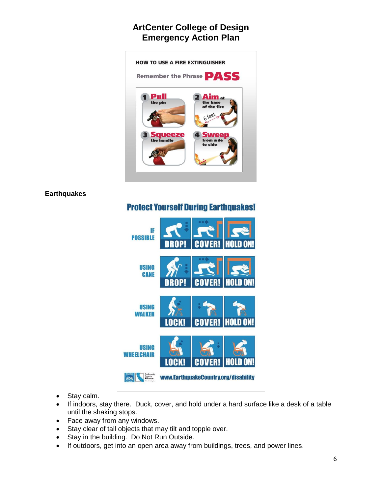

### **Earthquakes**

# **Protect Yourself During Earthquakes!**



- Stay calm.
- If indoors, stay there. Duck, cover, and hold under a hard surface like a desk of a table until the shaking stops.
- Face away from any windows.
- Stay clear of tall objects that may tilt and topple over.
- Stay in the building. Do Not Run Outside.
- If outdoors, get into an open area away from buildings, trees, and power lines.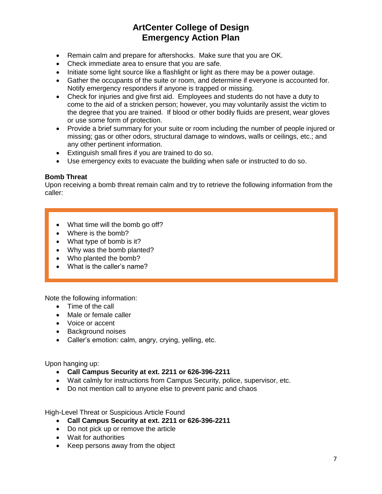- Remain calm and prepare for aftershocks. Make sure that you are OK.
- Check immediate area to ensure that you are safe.
- Initiate some light source like a flashlight or light as there may be a power outage.
- Gather the occupants of the suite or room, and determine if everyone is accounted for. Notify emergency responders if anyone is trapped or missing.
- Check for injuries and give first aid. Employees and students do not have a duty to come to the aid of a stricken person; however, you may voluntarily assist the victim to the degree that you are trained. If blood or other bodily fluids are present, wear gloves or use some form of protection.
- Provide a brief summary for your suite or room including the number of people injured or missing; gas or other odors, structural damage to windows, walls or ceilings, etc.; and any other pertinent information.
- Extinguish small fires if you are trained to do so.
- Use emergency exits to evacuate the building when safe or instructed to do so.

#### **Bomb Threat**

Upon receiving a bomb threat remain calm and try to retrieve the following information from the caller:

- What time will the bomb go off?
- Where is the bomb?
- What type of bomb is it?
- Why was the bomb planted?
- Who planted the bomb?
- What is the caller's name?

Note the following information:

- Time of the call
- Male or female caller
- Voice or accent
- Background noises
- Caller's emotion: calm, angry, crying, yelling, etc.

Upon hanging up:

- **Call Campus Security at ext. 2211 or 626-396-2211**
- Wait calmly for instructions from Campus Security, police, supervisor, etc.
- Do not mention call to anyone else to prevent panic and chaos

High-Level Threat or Suspicious Article Found

- **Call Campus Security at ext. 2211 or 626-396-2211**
- Do not pick up or remove the article
- Wait for authorities
- Keep persons away from the object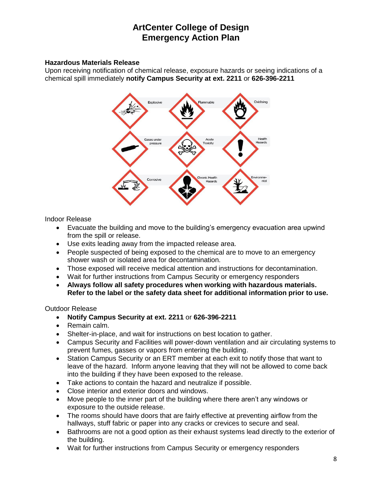#### **Hazardous Materials Release**

Upon receiving notification of chemical release, exposure hazards or seeing indications of a chemical spill immediately **notify Campus Security at ext. 2211** or **626-396-2211**



Indoor Release

- Evacuate the building and move to the building's emergency evacuation area upwind from the spill or release.
- Use exits leading away from the impacted release area.
- People suspected of being exposed to the chemical are to move to an emergency shower wash or isolated area for decontamination.
- Those exposed will receive medical attention and instructions for decontamination.
- Wait for further instructions from Campus Security or emergency responders
- **Always follow all safety procedures when working with hazardous materials. Refer to the label or the safety data sheet for additional information prior to use.**

Outdoor Release

- **Notify Campus Security at ext. 2211** or **626-396-2211**
- Remain calm.
- Shelter-in-place, and wait for instructions on best location to gather.
- Campus Security and Facilities will power-down ventilation and air circulating systems to prevent fumes, gasses or vapors from entering the building.
- Station Campus Security or an ERT member at each exit to notify those that want to leave of the hazard. Inform anyone leaving that they will not be allowed to come back into the building if they have been exposed to the release.
- Take actions to contain the hazard and neutralize if possible.
- Close interior and exterior doors and windows.
- Move people to the inner part of the building where there aren't any windows or exposure to the outside release.
- The rooms should have doors that are fairly effective at preventing airflow from the hallways, stuff fabric or paper into any cracks or crevices to secure and seal.
- Bathrooms are not a good option as their exhaust systems lead directly to the exterior of the building.
- Wait for further instructions from Campus Security or emergency responders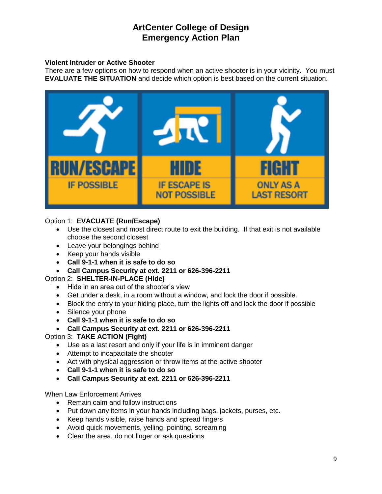#### **Violent Intruder or Active Shooter**

There are a few options on how to respond when an active shooter is in your vicinity. You must **EVALUATE THE SITUATION** and decide which option is best based on the current situation.



### Option 1: **EVACUATE (Run/Escape)**

- Use the closest and most direct route to exit the building. If that exit is not available choose the second closest
- Leave your belongings behind
- Keep your hands visible
- **Call 9-1-1 when it is safe to do so**
- **Call Campus Security at ext. 2211 or 626-396-2211**

### Option 2: **SHELTER-IN-PLACE (Hide)**

- Hide in an area out of the shooter's view
- Get under a desk, in a room without a window, and lock the door if possible.
- Block the entry to your hiding place, turn the lights off and lock the door if possible
- Silence your phone
- **Call 9-1-1 when it is safe to do so**
- **Call Campus Security at ext. 2211 or 626-396-2211**

### Option 3: **TAKE ACTION (Fight)**

- Use as a last resort and only if your life is in imminent danger
- Attempt to incapacitate the shooter
- Act with physical aggression or throw items at the active shooter
- **Call 9-1-1 when it is safe to do so**
- **Call Campus Security at ext. 2211 or 626-396-2211**

When Law Enforcement Arrives

- Remain calm and follow instructions
- Put down any items in your hands including bags, jackets, purses, etc.
- Keep hands visible, raise hands and spread fingers
- Avoid quick movements, yelling, pointing, screaming
- Clear the area, do not linger or ask questions